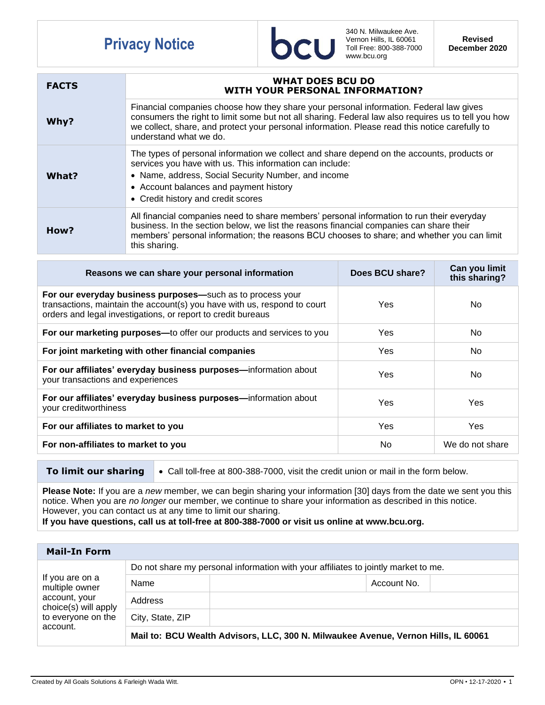## **Privacy Notice**



340 N. Milwaukee Ave. Vernon Hills, IL 60061 Toll Free: 800-388-7000 www.bcu.org

**Revised December 2020**

| <b>FACTS</b> | <b>WHAT DOES BCU DO</b><br><b>WITH YOUR PERSONAL INFORMATION?</b>                                                                                                                                                                                                                                                         |
|--------------|---------------------------------------------------------------------------------------------------------------------------------------------------------------------------------------------------------------------------------------------------------------------------------------------------------------------------|
| Why?         | Financial companies choose how they share your personal information. Federal law gives<br>consumers the right to limit some but not all sharing. Federal law also requires us to tell you how<br>we collect, share, and protect your personal information. Please read this notice carefully to<br>understand what we do. |
| What?        | The types of personal information we collect and share depend on the accounts, products or<br>services you have with us. This information can include:<br>• Name, address, Social Security Number, and income<br>• Account balances and payment history<br>• Credit history and credit scores                             |
| How?         | All financial companies need to share members' personal information to run their everyday<br>business. In the section below, we list the reasons financial companies can share their<br>members' personal information; the reasons BCU chooses to share; and whether you can limit<br>this sharing.                       |

| Reasons we can share your personal information                                                                                                                                                         | Does BCU share? | Can you limit<br>this sharing? |
|--------------------------------------------------------------------------------------------------------------------------------------------------------------------------------------------------------|-----------------|--------------------------------|
| For our everyday business purposes—such as to process your<br>transactions, maintain the account(s) you have with us, respond to court<br>orders and legal investigations, or report to credit bureaus | Yes             | No.                            |
| For our marketing purposes-to offer our products and services to you                                                                                                                                   | Yes             | N <sub>o</sub>                 |
| For joint marketing with other financial companies                                                                                                                                                     | Yes             | No.                            |
| For our affiliates' everyday business purposes-information about<br>your transactions and experiences                                                                                                  | Yes             | No                             |
| For our affiliates' everyday business purposes-information about<br>your creditworthiness                                                                                                              | Yes             | <b>Yes</b>                     |
| For our affiliates to market to you                                                                                                                                                                    | Yes             | <b>Yes</b>                     |
| For non-affiliates to market to you                                                                                                                                                                    | No              | We do not share                |

**To limit our sharing**  $\bullet$  Call toll-free at 800-388-7000, visit the credit union or mail in the form below.

**Please Note:** If you are a *new* member, we can begin sharing your information [30] days from the date we sent you this notice. When you are *no longer* our member, we continue to share your information as described in this notice. However, you can contact us at any time to limit our sharing.

**If you have questions, call us at toll-free at 800-388-7000 or visit us online at www.bcu.org.**

| <b>Mail-In Form</b>                                                                                          |                                                                                    |             |  |  |
|--------------------------------------------------------------------------------------------------------------|------------------------------------------------------------------------------------|-------------|--|--|
| If you are on a<br>multiple owner<br>account, your<br>choice(s) will apply<br>to everyone on the<br>account. | Do not share my personal information with your affiliates to jointly market to me. |             |  |  |
|                                                                                                              | Name                                                                               | Account No. |  |  |
|                                                                                                              | Address                                                                            |             |  |  |
|                                                                                                              | City, State, ZIP                                                                   |             |  |  |
|                                                                                                              | Mail to: BCU Wealth Advisors, LLC, 300 N. Milwaukee Avenue, Vernon Hills, IL 60061 |             |  |  |